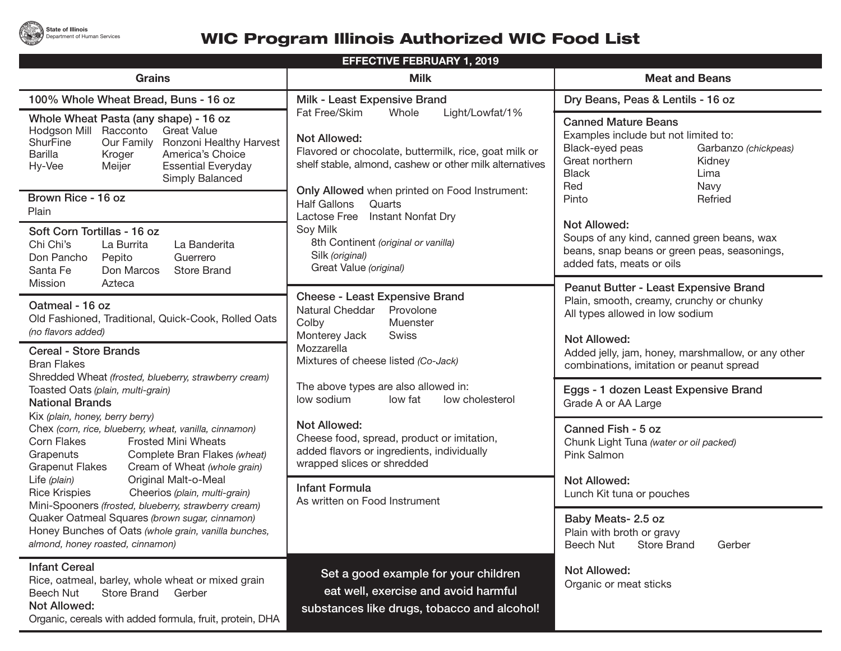

## **WIC Program Illinois Authorized WIC Food List**

| <b>EFFECTIVE FEBRUARY 1, 2019</b>                                                                                                                                                                                                                                                                                                                                                                                                                                                                                                                                                                                   |                                                                                                                                                                                                                                       |                                                                                                                                                                                  |  |  |  |
|---------------------------------------------------------------------------------------------------------------------------------------------------------------------------------------------------------------------------------------------------------------------------------------------------------------------------------------------------------------------------------------------------------------------------------------------------------------------------------------------------------------------------------------------------------------------------------------------------------------------|---------------------------------------------------------------------------------------------------------------------------------------------------------------------------------------------------------------------------------------|----------------------------------------------------------------------------------------------------------------------------------------------------------------------------------|--|--|--|
| <b>Grains</b>                                                                                                                                                                                                                                                                                                                                                                                                                                                                                                                                                                                                       | <b>Milk</b>                                                                                                                                                                                                                           | <b>Meat and Beans</b>                                                                                                                                                            |  |  |  |
| 100% Whole Wheat Bread, Buns - 16 oz                                                                                                                                                                                                                                                                                                                                                                                                                                                                                                                                                                                | Milk - Least Expensive Brand                                                                                                                                                                                                          | Dry Beans, Peas & Lentils - 16 oz                                                                                                                                                |  |  |  |
| Whole Wheat Pasta (any shape) - 16 oz<br>Racconto<br><b>Great Value</b><br>Hodgson Mill<br><b>ShurFine</b><br>Our Family<br>Ronzoni Healthy Harvest<br><b>Barilla</b><br>America's Choice<br>Kroger<br><b>Essential Everyday</b><br>Hy-Vee<br>Meijer<br>Simply Balanced                                                                                                                                                                                                                                                                                                                                             | Fat Free/Skim<br>Whole<br>Light/Lowfat/1%<br><b>Not Allowed:</b><br>Flavored or chocolate, buttermilk, rice, goat milk or<br>shelf stable, almond, cashew or other milk alternatives<br>Only Allowed when printed on Food Instrument: | <b>Canned Mature Beans</b><br>Examples include but not limited to:<br>Black-eyed peas<br>Garbanzo (chickpeas)<br>Great northern<br>Kidney<br><b>Black</b><br>Lima<br>Red<br>Navy |  |  |  |
| Brown Rice - 16 oz<br>Plain                                                                                                                                                                                                                                                                                                                                                                                                                                                                                                                                                                                         | <b>Half Gallons</b><br>Quarts<br>Lactose Free                                                                                                                                                                                         | Pinto<br>Refried                                                                                                                                                                 |  |  |  |
| Soft Corn Tortillas - 16 oz<br>Chi Chi's<br>La Banderita<br>La Burrita<br>Guerrero<br>Don Pancho<br>Pepito<br>Don Marcos<br>Santa Fe<br><b>Store Brand</b>                                                                                                                                                                                                                                                                                                                                                                                                                                                          | Instant Nonfat Dry<br>Soy Milk<br>8th Continent (original or vanilla)<br>Silk (original)<br>Great Value (original)                                                                                                                    | Not Allowed:<br>Soups of any kind, canned green beans, wax<br>beans, snap beans or green peas, seasonings,<br>added fats, meats or oils                                          |  |  |  |
| Azteca<br>Mission<br>Oatmeal - 16 oz<br>Old Fashioned, Traditional, Quick-Cook, Rolled Oats<br>(no flavors added)                                                                                                                                                                                                                                                                                                                                                                                                                                                                                                   | <b>Cheese - Least Expensive Brand</b><br>Natural Cheddar<br>Provolone<br>Colby<br>Muenster<br>Monterey Jack<br>Swiss                                                                                                                  | Peanut Butter - Least Expensive Brand<br>Plain, smooth, creamy, crunchy or chunky<br>All types allowed in low sodium<br><b>Not Allowed:</b>                                      |  |  |  |
| <b>Cereal - Store Brands</b><br><b>Bran Flakes</b><br>Shredded Wheat (frosted, blueberry, strawberry cream)                                                                                                                                                                                                                                                                                                                                                                                                                                                                                                         | Mozzarella<br>Mixtures of cheese listed (Co-Jack)                                                                                                                                                                                     | Added jelly, jam, honey, marshmallow, or any other<br>combinations, imitation or peanut spread                                                                                   |  |  |  |
| Toasted Oats (plain, multi-grain)<br><b>National Brands</b><br>Kix (plain, honey, berry berry)<br>Chex (corn, rice, blueberry, wheat, vanilla, cinnamon)<br>Corn Flakes<br><b>Frosted Mini Wheats</b><br>Grapenuts<br>Complete Bran Flakes (wheat)<br>Cream of Wheat (whole grain)<br><b>Grapenut Flakes</b><br>Life (plain)<br>Original Malt-o-Meal<br><b>Rice Krispies</b><br>Cheerios (plain, multi-grain)<br>Mini-Spooners (frosted, blueberry, strawberry cream)<br>Quaker Oatmeal Squares (brown sugar, cinnamon)<br>Honey Bunches of Oats (whole grain, vanilla bunches,<br>almond, honey roasted, cinnamon) | The above types are also allowed in:<br>low sodium<br>low fat<br>low cholesterol                                                                                                                                                      | Eggs - 1 dozen Least Expensive Brand<br>Grade A or AA Large                                                                                                                      |  |  |  |
|                                                                                                                                                                                                                                                                                                                                                                                                                                                                                                                                                                                                                     | Not Allowed:<br>Cheese food, spread, product or imitation,<br>added flavors or ingredients, individually<br>wrapped slices or shredded                                                                                                | Canned Fish - 5 oz<br>Chunk Light Tuna (water or oil packed)<br>Pink Salmon                                                                                                      |  |  |  |
|                                                                                                                                                                                                                                                                                                                                                                                                                                                                                                                                                                                                                     | <b>Infant Formula</b><br>As written on Food Instrument                                                                                                                                                                                | Not Allowed:<br>Lunch Kit tuna or pouches                                                                                                                                        |  |  |  |
|                                                                                                                                                                                                                                                                                                                                                                                                                                                                                                                                                                                                                     |                                                                                                                                                                                                                                       | Baby Meats- 2.5 oz<br>Plain with broth or gravy<br><b>Store Brand</b><br>Beech Nut<br>Gerber                                                                                     |  |  |  |
| <b>Infant Cereal</b><br>Rice, oatmeal, barley, whole wheat or mixed grain<br>Beech Nut<br>Store Brand<br>Gerber<br><b>Not Allowed:</b><br>Organic, cereals with added formula, fruit, protein, DHA                                                                                                                                                                                                                                                                                                                                                                                                                  | Set a good example for your children<br>eat well, exercise and avoid harmful<br>substances like drugs, tobacco and alcohol!                                                                                                           | <b>Not Allowed:</b><br>Organic or meat sticks                                                                                                                                    |  |  |  |